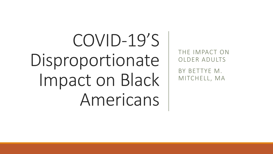# COVID-19'S Disproportionate Impact on Black Americans

THE IMPACT ON OLDER ADULTS

BY BETTYE M. MITCHELL, MA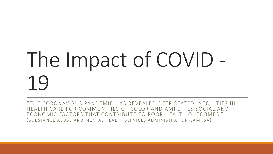# The Impact of COVID - 19

" THE CORONAVIRUS PANDEMIC HAS REVEALED DEEP SEATED INEQUITIES IN HEALTH CARE FOR COMMUNITIES OF COLOR AND AMPLIFIES SOCIAL AND ECONOMIC FACTORS THAT CONTRIBUTE TO POOR HEALTH OUTCOMES." ( SUBSTANCE ABUSE AND MENTAL HEALTH SERVICES ADMINISTRATION- SAMHSA)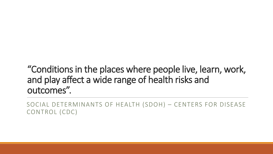### "Conditions in the places where people live, learn, work, and play affect a wide range of health risks and outcomes".

SOCIAL DETERMINANTS OF HEALTH (SDOH) – CENTERS FOR DISEASE CONTROL (CDC)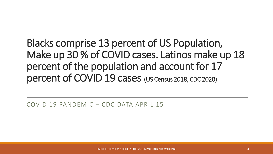Blacks comprise 13 percent of US Population, Make up 30 % of COVID cases. Latinos make up 18 percent of the population and account for 17 percent of COVID 19 cases. (US Census 2018, CDC 2020)

COVID 19 PANDEMIC – CDC DATA APRIL 15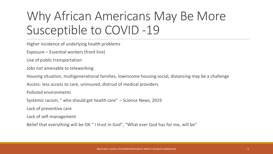## Why African Americans May Be More Susceptible to COVID -19

Higher incidence of underlying health problems

Exposure – Essential workers (front line)

Use of public transportation

Jobs not amenable to teleworking

Housing situation, multigenerational families, low-income housing social, distancing may be a challenge

Access- less access to care, uninsured, distrust of medical providers

Polluted environments

Systemic racism, " who should get health care" – Science News, 2019

Lack of preventive care

Lack of self-management

Belief that everything will be OK " I trust in God", "What ever God has for me, will be"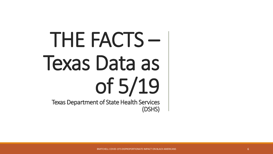# THE FACTS – Texas Data as of 5/19 Texas Department of State Health Services (DSHS)

BMITCHELL COVID-19'S DISPROPORTIONATE IMPACT ON BLACK AMERICANS 6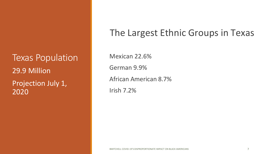Texas Population 29.9 Million Projection July 1, 2020

### The Largest Ethnic Groups in Texas

Mexican 22.6% German 9.9% African American 8.7% Irish 7.2%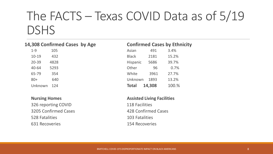### The FACTS – Texas COVID Data as of 5/19 DSHS

### **14,308 Confirmed Cases by Age Confirmed Cases by Ethnicity**

| $1 - 9$ | 105  |
|---------|------|
| 10-19   | 432  |
| 20-39   | 4828 |
| 40-64   | 5293 |
| 65-79   | 354  |
| $80+$   | 640  |
| Unknown | 124  |

326 reporting COVID 118 Facilities 3205 Confirmed Cases 428 Confirmed Cases 528 Fatalities 103 Fatalities 631 Recoveries 154 Recoveries

| $1 - 9$   | 105  | Asian           | 491    | 3.4%  |
|-----------|------|-----------------|--------|-------|
| $10 - 19$ | 432  | <b>Black</b>    | 2181   | 15.2% |
| 20-39     | 4828 | <b>Hispanic</b> | 5686   | 39.7% |
| 40-64     | 5293 | Other           | 96     | 0.7%  |
| 65-79     | 354  | White           | 3961   | 27.7% |
| $80 +$    | 640  | Unknown         | 1893   | 13.2% |
| Unknown   | 124  | <b>Total</b>    | 14,308 | 100.% |

### **Nursing Homes Assisted Living Facilities**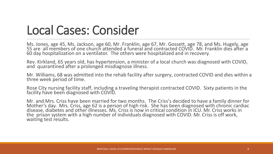## Local Cases: Consider

Ms. Jones, age 45, Ms. Jackson, age 60, Mr. Franklin, age 67, Mr. Gossett, age 78, and Ms. Hugely, age 55 are all members of one church attended a funeral and contracted COVID. Mr. Franklin dies after a 60 day hospitalization on a ventilator. The others were hospitalized and in recovery.

Rev. Kirkland, 65 years old, has hypertension, a minister of a local church was diagnosed with COVID, and quarantined after a prolonged misdiagnose illness.

Mr. Williams, 68 was admitted into the rehab facility after surgery, contracted COVID and dies within a three week period of time.

Rose City nursing facility staff, including a traveling therapist contracted COVID. Sixty patients in the facility have been diagnosed with COVID.

Mr. and Mrs. Criss have been married for two months. The Criss's decided to have a family dinner for Mother's day. Mrs. Criss, age 62 is a person of high risk. She has been diagnosed with chronic cardiac disease, diabetes and other illnesses. Ms. Criss is now in critical condition in ICU. Mr. Criss works in the prison system with a high number of individuals diagnosed with COVID. Mr. Criss is off work, waiting test results.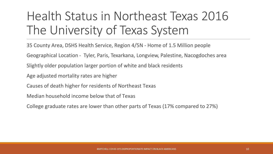## Health Status in Northeast Texas 2016 The University of Texas System

35 County Area, DSHS Health Service, Region 4/5N - Home of 1.5 Million people

Geographical Location - Tyler, Paris, Texarkana, Longview, Palestine, Nacogdoches area

Slightly older population larger portion of white and black residents

Age adjusted mortality rates are higher

Causes of death higher for residents of Northeast Texas

Median household income below that of Texas

College graduate rates are lower than other parts of Texas (17% compared to 27%)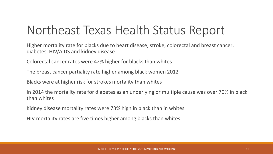### Northeast Texas Health Status Report

Higher mortality rate for blacks due to heart disease, stroke, colorectal and breast cancer, diabetes, HIV/AIDS and kidney disease

Colorectal cancer rates were 42% higher for blacks than whites

The breast cancer partiality rate higher among black women 2012

Blacks were at higher risk for strokes mortality than whites

In 2014 the mortality rate for diabetes as an underlying or multiple cause was over 70% in black than whites

Kidney disease mortality rates were 73% high in black than in whites

HIV mortality rates are five times higher among blacks than whites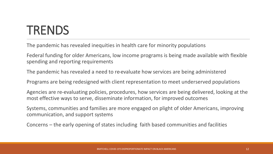## **TRENDS**

The pandemic has revealed inequities in health care for minority populations

Federal funding for older Americans, low income programs is being made available with flexible spending and reporting requirements

The pandemic has revealed a need to re-evaluate how services are being administered

Programs are being redesigned with client representation to meet underserved populations

Agencies are re-evaluating policies, procedures, how services are being delivered, looking at the most effective ways to serve, disseminate information, for improved outcomes

Systems, communities and families are more engaged on plight of older Americans, improving communication, and support systems

Concerns – the early opening of states including faith based communities and facilities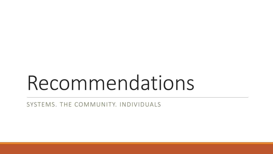# Recommendations

SYSTEMS. THE COMMUNITY. INDIVIDUALS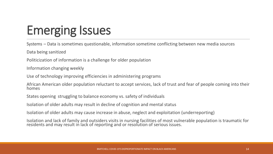# Emerging Issues

Systems – Data is sometimes questionable, information sometime conflicting between new media sources

Data being sanitized

Politicization of information is a challenge for older population

Information changing weekly

Use of technology improving efficiencies in administering programs

African American older population reluctant to accept services, lack of trust and fear of people coming into their homes

States opening struggling to balance economy vs. safety of individuals

Isolation of older adults may result in decline of cognition and mental status

Isolation of older adults may cause increase in abuse, neglect and exploitation (underreporting)

Isolation and lack of family and outsiders visits in nursing facilities of most vulnerable population is traumatic for residents and may result in lack of reporting and or resolution of serious issues.